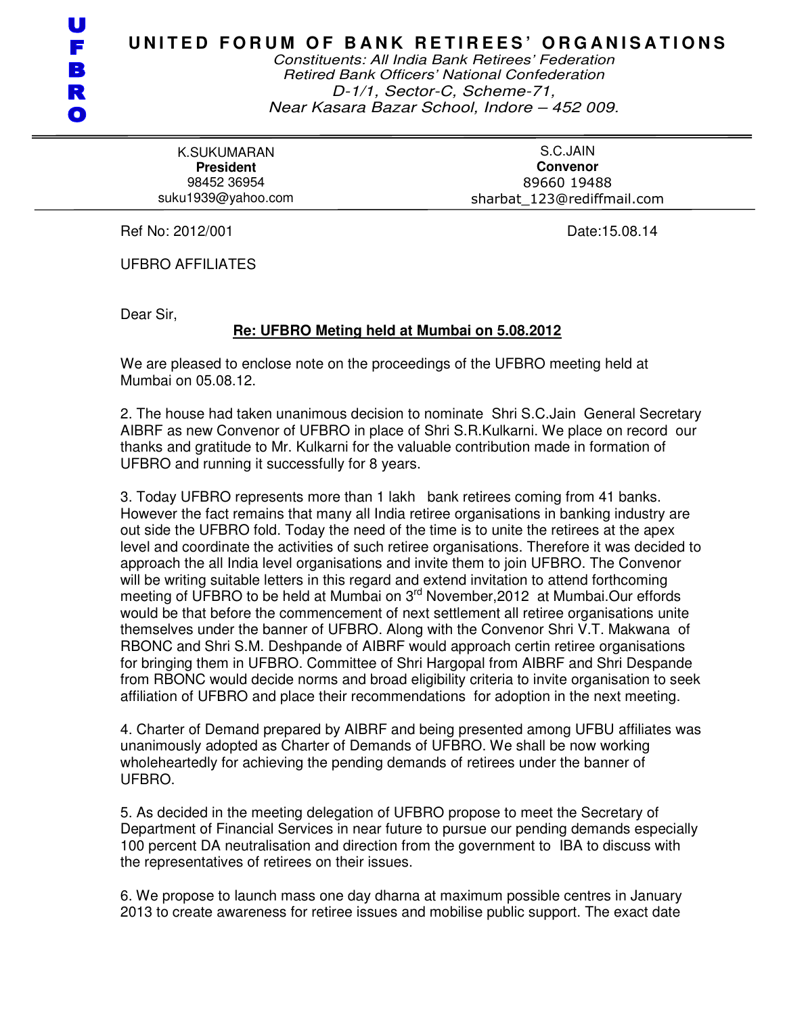**UNITED FORUM OF BANK RETIREES' ORGANISATIONS** 

Constituents: All India Bank Retirees' Federation Retired Bank Officers' National Confederation D-1/1, Sector-C, Scheme-71, Near Kasara Bazar School, Indore – 452 009.

K.SUKUMARAN **President**  98452 36954 suku1939@yahoo.com

S.C.JAIN **Convenor**  89660 19488 sharbat\_123@rediffmail.com

Ref No: 2012/001 **Date:15.08.14** 

UFBRO AFFILIATES

Dear Sir,

U F В R  $\mathbf \Omega$ 

## **Re: UFBRO Meting held at Mumbai on 5.08.2012**

We are pleased to enclose note on the proceedings of the UFBRO meeting held at Mumbai on 05.08.12.

2. The house had taken unanimous decision to nominate Shri S.C.Jain General Secretary AIBRF as new Convenor of UFBRO in place of Shri S.R.Kulkarni. We place on record our thanks and gratitude to Mr. Kulkarni for the valuable contribution made in formation of UFBRO and running it successfully for 8 years.

3. Today UFBRO represents more than 1 lakh bank retirees coming from 41 banks. However the fact remains that many all India retiree organisations in banking industry are out side the UFBRO fold. Today the need of the time is to unite the retirees at the apex level and coordinate the activities of such retiree organisations. Therefore it was decided to approach the all India level organisations and invite them to join UFBRO. The Convenor will be writing suitable letters in this regard and extend invitation to attend forthcoming meeting of UFBRO to be held at Mumbai on  $3<sup>rd</sup>$  November, 2012 at Mumbai.Our effords would be that before the commencement of next settlement all retiree organisations unite themselves under the banner of UFBRO. Along with the Convenor Shri V.T. Makwana of RBONC and Shri S.M. Deshpande of AIBRF would approach certin retiree organisations for bringing them in UFBRO. Committee of Shri Hargopal from AIBRF and Shri Despande from RBONC would decide norms and broad eligibility criteria to invite organisation to seek affiliation of UFBRO and place their recommendations for adoption in the next meeting.

4. Charter of Demand prepared by AIBRF and being presented among UFBU affiliates was unanimously adopted as Charter of Demands of UFBRO. We shall be now working wholeheartedly for achieving the pending demands of retirees under the banner of UFBRO.

5. As decided in the meeting delegation of UFBRO propose to meet the Secretary of Department of Financial Services in near future to pursue our pending demands especially 100 percent DA neutralisation and direction from the government to IBA to discuss with the representatives of retirees on their issues.

6. We propose to launch mass one day dharna at maximum possible centres in January 2013 to create awareness for retiree issues and mobilise public support. The exact date